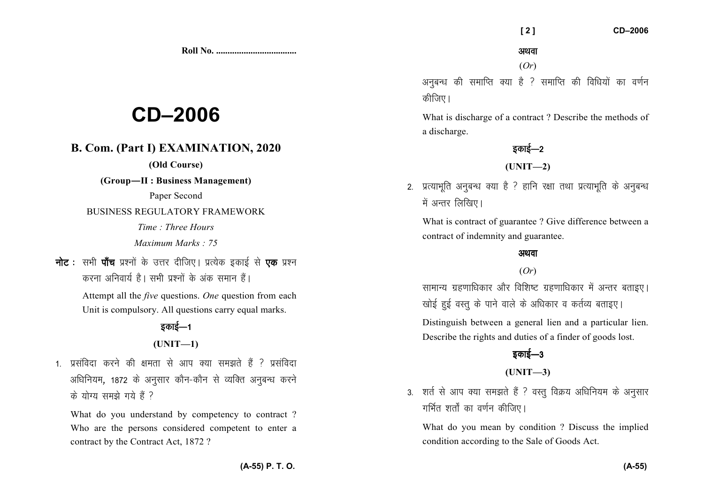**Roll No. ...................................** 

# **CD–2006**

# **B. Com. (Part I) EXAMINATION, 2020**

**(Old Course)** 

**(Group—II : Business Management)** 

Paper Second

BUSINESS REGULATORY FRAMEWORK

*Time : Three Hours Maximum Marks : 75* 

नोट : सभी पाँच प्रश्नों के उत्तर दीजिए। प्रत्येक इकाई से एक प्रश्न करना अनिवार्य है। सभी प्रश्नों के अंक समान हैं।

> Attempt all the *five* questions. *One* question from each Unit is compulsory. All questions carry equal marks.

### डकाई—1

### **(UNIT—1)**

1 - प्रसंविदा करने की क्षमता से आप क्या समझते हैं ? प्रसंविदा अधिनियम, 1872 के अनुसार कौन-कौन से व्यक्ति अनुबन्ध करने  $\vec{a}$  योग्य समझे गये हैं ?

What do you understand by competency to contract ? Who are the persons considered competent to enter acontract by the Contract Act, 1872 ?

 **[ 2 ] CD–2006** 

(*Or*)

अनुबन्ध की समाप्ति क्या है ? समाप्ति की विधियों का वर्णन कीजिए।

What is discharge of a contract ? Describe the methods of a discharge.

डकाई—2

**(UNIT—2)** 

2. प्रत्याभूति अनुबन्ध क्या है ? हानि रक्षा तथा प्रत्याभूति के अनुबन्ध में अन्तर लिखिए।

What is contract of guarantee ? Give difference between a contract of indemnity and guarantee.

### अथवा

### (*Or*)

सामान्य ग्रहणाधिकार और विशिष्ट ग्रहणाधिकार में अन्तर बताइए। खोई हुई वस्तु के पाने वाले के अधिकार व कर्तव्य बताइए।

Distinguish between a general lien and a particular lien. Describe the rights and duties of a finder of goods lost.

# डकाई—3

### **(UNIT—3)**

3. शर्त से आप क्या समझते हैं ? वस्तू विक्रय अधिनियम के अनुसार गर्भित शर्तों का वर्णन कीजिए।

What do you mean by condition ? Discuss the impliedcondition according to the Sale of Goods Act.